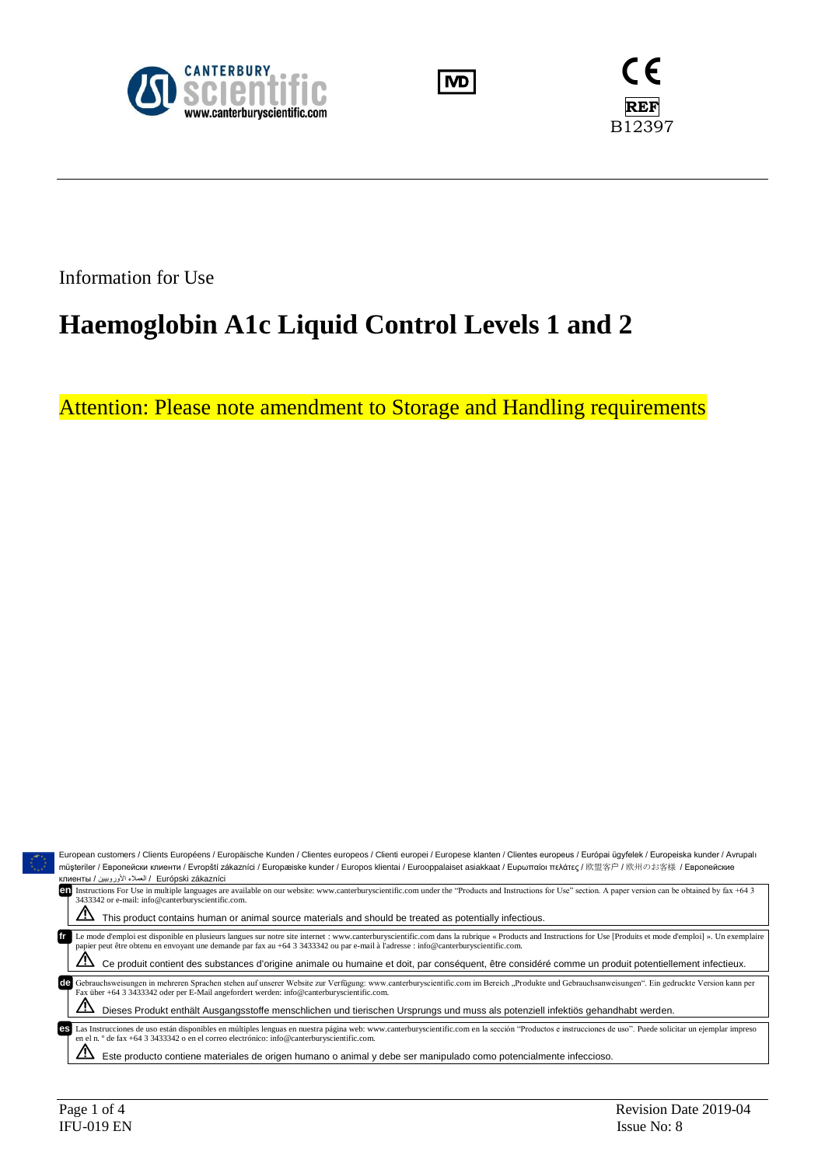





Information for Use

# **Haemoglobin A1c Liquid Control Levels 1 and 2**

Attention: Please note amendment to Storage and Handling requirements

| European customers / Clients Européens / Europäische Kunden / Clientes europeos / Clienti europei / Europese klanten / Clientes europeus / Európai ügyfelek / Europeiska kunder / Avrupalı                                                                                                                                                                 |  |  |  |  |  |  |
|------------------------------------------------------------------------------------------------------------------------------------------------------------------------------------------------------------------------------------------------------------------------------------------------------------------------------------------------------------|--|--|--|--|--|--|
| müsteriler / Европейски клиенти / Evropští zákazníci / Europæiske kunder / Europos klientai / Eurooppalaiset asiakkaat / Eυρωπαίοι πελάτες / 欧盟客户 / 欧州のお客様 / Европейские                                                                                                                                                                                   |  |  |  |  |  |  |
| Kлиенты / العملاء الأوروبيين / Клиенты                                                                                                                                                                                                                                                                                                                     |  |  |  |  |  |  |
| Instructions For Use in multiple languages are available on our website: www.canterburyscientific.com under the "Products and Instructions for Use" section. A paper version can be obtained by fax +64 3<br>en                                                                                                                                            |  |  |  |  |  |  |
| 3433342 or e-mail: info@canterburyscientific.com.                                                                                                                                                                                                                                                                                                          |  |  |  |  |  |  |
| This product contains human or animal source materials and should be treated as potentially infectious.                                                                                                                                                                                                                                                    |  |  |  |  |  |  |
|                                                                                                                                                                                                                                                                                                                                                            |  |  |  |  |  |  |
| Le mode d'emploi est disponible en plusieurs langues sur notre site internet : www.canterburyscientific.com dans la rubrique « Products and Instructions for Use [Produits et mode d'emploi] ». Un exemplaire<br>fr<br>papier peut être obtenu en envoyant une demande par fax au +64 3 3433342 ou par e-mail à l'adresse : info@canterburyscientific.com. |  |  |  |  |  |  |
| Ce produit contient des substances d'origine animale ou humaine et doit, par conséquent, être considéré comme un produit potentiellement infectieux.                                                                                                                                                                                                       |  |  |  |  |  |  |
| Gebrauchsweisungen in mehreren Sprachen stehen auf unserer Website zur Verfügung: www.canterburyscientific.com im Bereich "Produkte und Gebrauchsanweisungen". Ein gedruckte Version kann per<br><b>de</b><br>Fax über +64 3 3433342 oder per E-Mail angefordert werden: info@canterburyscientific.com.                                                    |  |  |  |  |  |  |
| Dieses Produkt enthält Ausgangsstoffe menschlichen und tierischen Ursprungs und muss als potenziell infektiös gehandhabt werden.                                                                                                                                                                                                                           |  |  |  |  |  |  |
| Las Instrucciones de uso están disponibles en múltiples lenguas en nuestra página web: www.canterburyscientific.com en la sección "Productos e instrucciones de uso". Puede solicitar un ejemplar impreso<br>es<br>en el n. $\degree$ de fax +64 3 3433342 o en el correo electrónico: info@canterburyscientific.com.                                      |  |  |  |  |  |  |
| Este producto contiene materiales de origen humano o animal y debe ser manipulado como potencialmente infeccioso.                                                                                                                                                                                                                                          |  |  |  |  |  |  |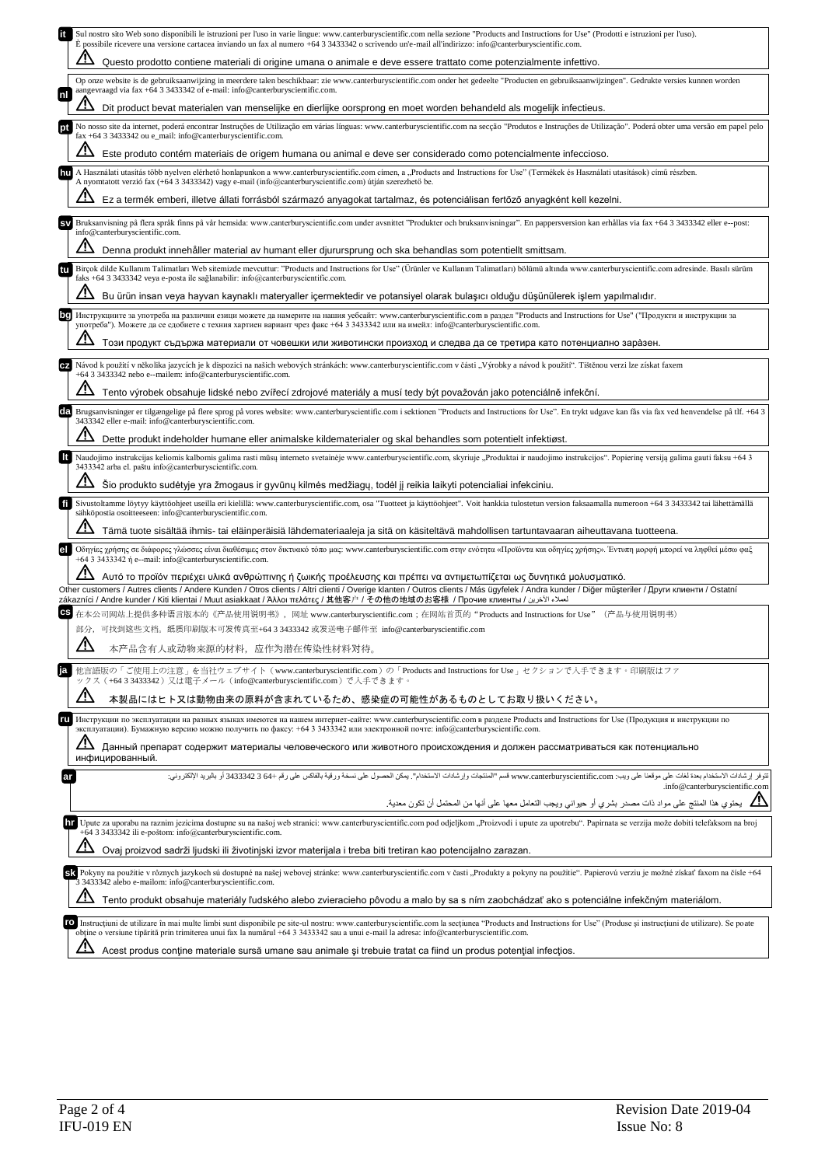|    | Sul nostro sito Web sono disponibili le istruzioni per l'uso in varie lingue: www.canterburyscientific.com nella sezione "Products and Instructions for Use" (Prodotti e istruzioni per l'uso).<br>E possibile ricevere una versione cartacea inviando un fax al numero +64 3 3433342 o scrivendo un'e-mail all'indirizzo: info@canterburyscientific.com.         |
|----|-------------------------------------------------------------------------------------------------------------------------------------------------------------------------------------------------------------------------------------------------------------------------------------------------------------------------------------------------------------------|
|    | Questo prodotto contiene materiali di origine umana o animale e deve essere trattato come potenzialmente infettivo.                                                                                                                                                                                                                                               |
| mı | Op onze website is de gebruiksaanwijzing in meerdere talen beschikbaar: zie www.canterburyscientific.com onder het gedeelte "Producten en gebruiksaanwijzingen". Gedrukte versies kunnen worden<br>aangevraagd via fax +64 3 3433342 of e-mail: info@canterburyscientific.com.                                                                                    |
|    | Dit product bevat materialen van menselijke en dierlijke oorsprong en moet worden behandeld als mogelijk infectieus.                                                                                                                                                                                                                                              |
|    | No nosso site da internet, poderá encontrar Instruções de Utilização em várias línguas: www.canterburyscientific.com na secção "Produtos e Instruções de Utilização". Poderá obter uma versão em papel pelo<br>fax +64 3 3433342 ou e_mail: info@canterburyscientific.com.                                                                                        |
|    | Este produto contém materiais de origem humana ou animal e deve ser considerado como potencialmente infeccioso.                                                                                                                                                                                                                                                   |
|    | A Használati utasítás több nyelven elérhető honlapunkon a www.canterburyscientific.com címen, a "Products and Instructions for Use" (Termékek és Használati utasítások) című részben.<br>A nyomtatott verzió fax (+64 3 3433342) vagy e-mail (info@canterburyscientific.com) útján szerezhető be.                                                                 |
|    | Ez a termék emberi, illetve állati forrásból származó anyagokat tartalmaz, és potenciálisan fertőző anyagként kell kezelni.                                                                                                                                                                                                                                       |
|    | Bruksanvisning på flera språk finns på vår hemsida: www.canterburyscientific.com under avsnittet "Produkter och bruksanvisningar". En pappersversion kan erhållas via fax +64 3 3433342 eller e--post:<br>info@canterburyscientific.com.                                                                                                                          |
|    | Denna produkt innehåller material av humant eller djurursprung och ska behandlas som potentiellt smittsam.                                                                                                                                                                                                                                                        |
| tu | Birçok dilde Kullanım Talimatları Web sitemizde mevcuttur: "Products and Instructions for Use" (Urünler ve Kullanım Talimatları) bölümü altında www.canterburyscientific.com adresinde. Basılı sürüm<br>faks $+64$ 3 3433342 veya e-posta ile sağlanabilir: info@canterburyscientific.com.                                                                        |
|    | Bu ürün insan veya hayvan kaynaklı materyaller içermektedir ve potansiyel olarak bulaşıcı olduğu düşünülerek işlem yapılmalıdır.                                                                                                                                                                                                                                  |
|    | Инструкциите за употреба на различни езици можете да намерите на нашия уебсайт: www.canterburyscientific.com в раздел "Products and Instructions for Use" ("Продукти и инструкции за<br>употреба"). Можете да се сдобиете с техния хартиен вариант чрез факс +64 3 3433342 или на имейл: info@canterburyscientific.com.                                           |
|    | Този продукт съдържа материали от човешки или животински произход и следва да се третира като потенциално зара̀зен.                                                                                                                                                                                                                                               |
|    | Návod k použití v několika jazycích je k dispozici na našich webových stránkách: www.canterburyscientific.com v části "Výrobky a návod k použití". Tištěnou verzi lze získat faxem<br>+64 3 3433342 nebo e--mailem: info@canterburyscientific.com.                                                                                                                |
|    | Tento výrobek obsahuje lidské nebo zvířecí zdrojové materiály a musí tedy být považován jako potenciálně infekční.                                                                                                                                                                                                                                                |
|    | EEI Brugsanvisninger er tilgængelige på flere sprog på vores website: www.canterburyscientific.com i sektionen "Products and Instructions for Use". En trykt udgave kan fås via fax ved henvendelse på tlf. +64 3<br>3433342 eller e-mail: info@canterburyscientific.com.                                                                                         |
|    | Dette produkt indeholder humane eller animalske kildematerialer og skal behandles som potentielt infektiøst.                                                                                                                                                                                                                                                      |
|    | Naudojimo instrukcijas keliomis kalbomis galima rasti mūsų interneto svetainėje www.canterburyscientific.com, skyriuje "Produktai ir naudojimo instrukcijos". Popierinę versiją galima gauti faksu +64 3                                                                                                                                                          |
|    | 3433342 arba el. paštu info@canterburyscientific.com.<br>Sio produkto sudėtyje yra žmogaus ir gyvūnų kilmės medžiagų, todėl jį reikia laikyti potencialiai infekciniu.                                                                                                                                                                                            |
| ft | Sivustoltamme löytyy käyttöohjeet useilla eri kielillä: www.canterburyscientific.com, osa "Tuotteet ja käyttöohjeet". Voit hankkia tulostetun version faksaamalla numeroon +64 3 3433342 tai lähettämällä                                                                                                                                                         |
|    | sähköpostia osoitteeseen: info@canterburyscientific.com.<br>Tämä tuote sisältää ihmis- tai eläinperäisiä lähdemateriaaleja ja sitä on käsiteltävä mahdollisen tartuntavaaran aiheuttavana tuotteena.                                                                                                                                                              |
| el | Οδηγίες χρήσης σε διάφορες γλώσσες είναι διαθέσιμες στον δικτυακό τόπο μας: www.canterburyscientific.com στην ενότητα «Προϊόντα και οδηγίες χρήσης». Έντυπη μορφή μπορεί να ληφθεί μέσω φαξ<br>+64 3 3433342 ή e--mail: info@canterburyscientific.com.                                                                                                            |
|    | Αυτό το προϊόν περιέχει υλικά ανθρώπινης ή ζωικής προέλευσης και πρέπει να αντιμετωπίζεται ως δυνητικά μολυσματικό.                                                                                                                                                                                                                                               |
|    | Other customers / Autres clients / Andere Kunden / Otros clients / Altri clienti / Overige klanten / Outros clients / Más ügyfelek / Andra kunder / Diğer müşteriler / Други клиенти / Ostatní<br>zákazníci / Andre kunder / Kiti klientai / Muut asiakkaat / Άλλοι πελάτες / 其他客户 / その他の地域のお客様 / Прочие клиенты /                                                |
|    | 在本公司网站上提供多种语言版本的《产品使用说明书》,网址 www.canterburyscientific.com;在网站首页的"Products and Instructions for Use"(产品与使用说明书)                                                                                                                                                                                                                                                     |
|    | 部分,可找到这些文档。纸质印刷版本可发传真至+64 3 3433342 或发送电子邮件至 info@canterburyscientific.com                                                                                                                                                                                                                                                                                        |
|    | $\Delta$<br>本产品含有人或动物来源的材料,应作为潜在传染性材料对待。                                                                                                                                                                                                                                                                                                                          |
|    | 他言語版の「ご使用上の注意」を当社ウェブサイト (www.canterburyscientific.com) の「Products and Instructions for Use」セクションで入手できます。印刷版はファ<br>ックス(+6433433342)又は電子メール(info@canterburyscientific.com)で入手できます。                                                                                                                                                                                  |
|    | <u>/ \</u><br>本製品にはヒト又は動物由来の原料が含まれているため、感染症の可能性があるものとしてお取り扱いください。                                                                                                                                                                                                                                                                                                 |
|    | Инструкции по эксплуатации на разных языках имеются на нашем интернет-сайте: www.canterburyscientific.com в разделе Products and Instructions for Use (Продукция и инструкции по<br>эксплуатации). Бумажную версию можно получить по факсу: +64 3 3433342 или электронной почте: info@canterburyscientific.com.                                                   |
|    | <u>/I</u><br>Данный препарат содержит материалы человеческого или животного происхождения и должен рассматриваться как потенциально                                                                                                                                                                                                                               |
| ar | инфицированный.<br>تتوفر إرشادات الاستخدام بعدة لغات على موقعنا على ويب: www.canterburyscientific.com قسم "العنتجات وإرشادات الاستخدام". يمكن الحصول على نسخة ورقية بالفاكس على رقم +66 3433342 أو بالبريد الإلكتروني:                                                                                                                                            |
|    | .info@canterburyscientific.com                                                                                                                                                                                                                                                                                                                                    |
|    | يحتوي هذا المنتج على مواد ذات مصدر بشري أو حيواني ويجب التعامل معها على أنها من المحتمل أن تكون معدية.                                                                                                                                                                                                                                                            |
|    | 11 Upute za uporabu na raznim jezicima dostupne su na našoj web stranici: www.canterburyscientific.com pod odjeljkom "Proizvodi i upute za upotrebu". Papirnata se verzija može dobiti telefaksom na broj<br>+64 3 3433342 ili e-poštom: info@canterburyscientific.com.                                                                                           |
|    | Ovaj proizvod sadrži ljudski ili životinjski izvor materijala i treba biti tretiran kao potencijalno zarazan.                                                                                                                                                                                                                                                     |
|    | SA Pokyny na použitie v rôznych jazykoch sú dostupné na našej webovej stránke: www.canterburyscientific.com v časti "Produkty a pokyny na použitie". Papierovú verziu je možné získať faxom na čísle +64<br>3 3433342 alebo e-mailom: info@canterburyscientific.com.                                                                                              |
|    | Tento produkt obsahuje materiály ľudského alebo zvieracieho pôvodu a malo by sa s ním zaobchádzať ako s potenciálne infekčným materiálom.                                                                                                                                                                                                                         |
|    | Instructiuni de utilizare în mai multe limbi sunt disponibile pe site-ul nostru: www.canterburyscientific.com la sectiunea "Products and Instructions for Use" (Produse și instructiuni de utilizare). Se poate<br>ro<br>obține o versiune tipărită prin trimiterea unui fax la numărul +64 3 3433342 sau a unui e-mail la adresa: info@canterburyscientific.com. |
|    | Acest produs contine materiale sursă umane sau animale și trebuie tratat ca fiind un produs potențial infecțios.                                                                                                                                                                                                                                                  |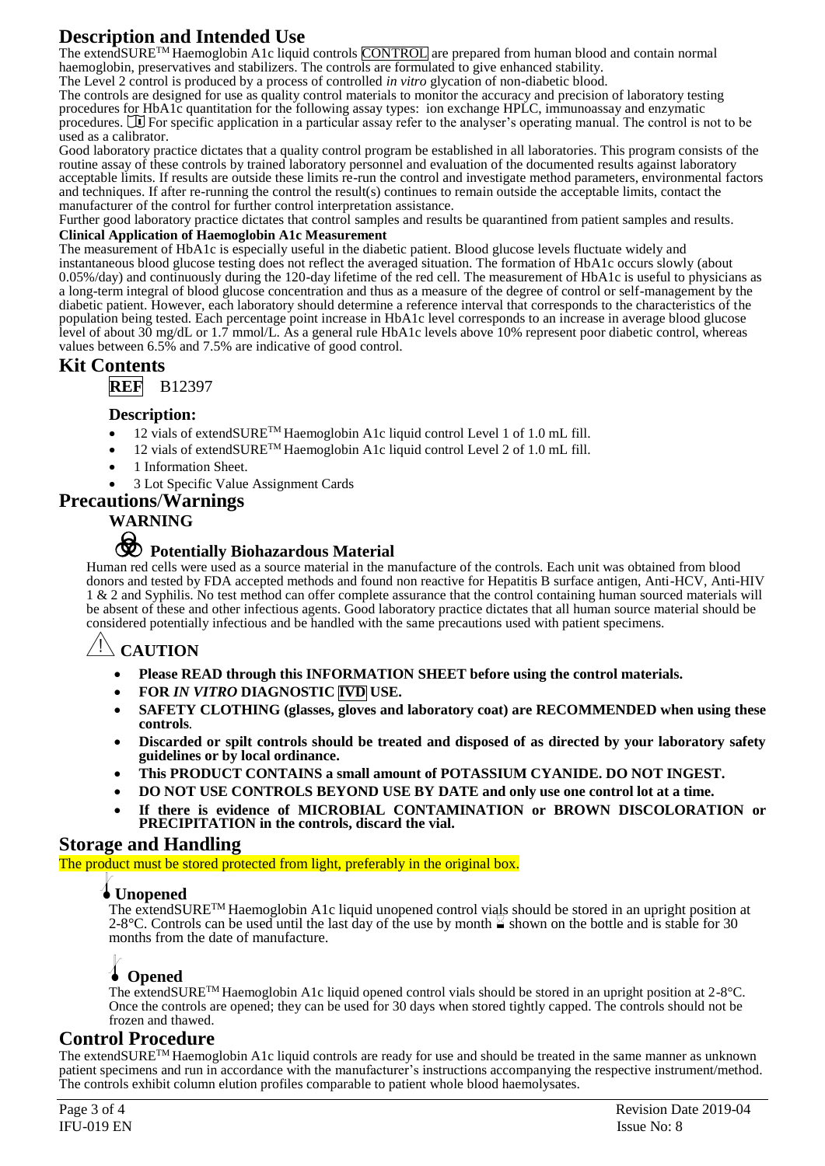# **Description and Intended Use**

The extendSURE™ Haemoglobin A1c liquid controls CONTROL are prepared from human blood and contain normal haemoglobin, preservatives and stabilizers. The controls are formulated to give enhanced stability.

The Level 2 control is produced by a process of controlled *in vitro* glycation of non-diabetic blood.

The controls are designed for use as quality control materials to monitor the accuracy and precision of laboratory testing procedures for HbA1c quantitation for the following assay types: ion exchange HPLC, immunoassay and enzymatic procedures. We For specific application in a particular assay refer to the analyser's operating manual. The control is not to be used as a calibrator.

Good laboratory practice dictates that a quality control program be established in all laboratories. This program consists of the routine assay of these controls by trained laboratory personnel and evaluation of the documented results against laboratory acceptable limits. If results are outside these limits re-run the control and investigate method parameters, environmental factors and techniques. If after re-running the control the result(s) continues to remain outside the acceptable limits, contact the manufacturer of the control for further control interpretation assistance.

Further good laboratory practice dictates that control samples and results be quarantined from patient samples and results.

#### **Clinical Application of Haemoglobin A1c Measurement**

The measurement of HbA1c is especially useful in the diabetic patient. Blood glucose levels fluctuate widely and instantaneous blood glucose testing does not reflect the averaged situation. The formation of HbA1c occurs slowly (about 0.05%/day) and continuously during the 120-day lifetime of the red cell. The measurement of HbA1c is useful to physicians as a long-term integral of blood glucose concentration and thus as a measure of the degree of control or self-management by the diabetic patient. However, each laboratory should determine a reference interval that corresponds to the characteristics of the population being tested. Each percentage point increase in HbA1c level corresponds to an increase in average blood glucose level of about 30 mg/dL or 1.7 mmol/L. As a general rule HbA1c levels above 10% represent poor diabetic control, whereas values between 6.5% and 7.5% are indicative of good control.

## **Kit Contents**

**REF** B12397

### **Description:**

- 12 vials of extendSURE™ Haemoglobin A1c liquid control Level 1 of 1.0 mL fill.
- 12 vials of extendSURE<sup>TM</sup> Haemoglobin A1c liquid control Level 2 of 1.0 mL fill.
- 1 Information Sheet.

• 3 Lot Specific Value Assignment Cards

## **Precautions**/**Warnings**

## **WARNING**



# F **Potentially Biohazardous Material**

Human red cells were used as a source material in the manufacture of the controls. Each unit was obtained from blood donors and tested by FDA accepted methods and found non reactive for Hepatitis B surface antigen, Anti-HCV, Anti-HIV 1 & 2 and Syphilis. No test method can offer complete assurance that the control containing human sourced materials will be absent of these and other infectious agents. Good laboratory practice dictates that all human source material should be considered potentially infectious and be handled with the same precautions used with patient specimens.

# **CAUTION**

- **Please READ through this INFORMATION SHEET before using the control materials.**
- **FOR** *IN VITRO* **DIAGNOSTIC IVD USE.**
- **SAFETY CLOTHING (glasses, gloves and laboratory coat) are RECOMMENDED when using these controls***.*
- **Discarded or spilt controls should be treated and disposed of as directed by your laboratory safety guidelines or by local ordinance.**
- **This PRODUCT CONTAINS a small amount of POTASSIUM CYANIDE. DO NOT INGEST.**
- **DO NOT USE CONTROLS BEYOND USE BY DATE and only use one control lot at a time.**
- **If there is evidence of MICROBIAL CONTAMINATION or BROWN DISCOLORATION or PRECIPITATION in the controls, discard the vial.**

## **Storage and Handling**

The product must be stored protected from light, preferably in the original box.

## l**Unopened**

The extendSURETM Haemoglobin A1c liquid unopened control vials should be stored in an upright position at 2-8°C. Controls can be used until the last day of the use by month  $\leq$  shown on the bottle and is stable for 30 months from the date of manufacture.

## l **Opened**

The extendSURETM Haemoglobin A1c liquid opened control vials should be stored in an upright position at 2-8°C. Once the controls are opened; they can be used for 30 days when stored tightly capped. The controls should not be frozen and thawed.

## **Control Procedure**

The extendSURETM Haemoglobin A1c liquid controls are ready for use and should be treated in the same manner as unknown patient specimens and run in accordance with the manufacturer's instructions accompanying the respective instrument/method. The controls exhibit column elution profiles comparable to patient whole blood haemolysates.